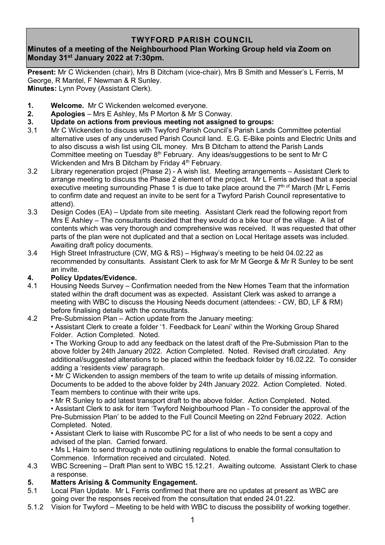## **TWYFORD PARISH COUNCIL**

# **Minutes of a meeting of the Neighbourhood Plan Working Group held via Zoom on Monday 31st January 2022 at 7:30pm.**

**Present:** Mr C Wickenden (chair), Mrs B Ditcham (vice-chair), Mrs B Smith and Messer's L Ferris, M George, R Mantel, F Newman & R Sunley. **Minutes:** Lynn Povey (Assistant Clerk).

- **1. Welcome.** Mr C Wickenden welcomed everyone.
- **2. Apologies** Mrs E Ashley, Ms P Morton & Mr S Conway.
- **3. Update on actions from previous meeting not assigned to groups:**
- 3.1 Mr C Wickenden to discuss with Twyford Parish Council's Parish Lands Committee potential alternative uses of any underused Parish Council land. E.G. E-Bike points and Electric Units and to also discuss a wish list using CIL money. Mrs B Ditcham to attend the Parish Lands Committee meeting on Tuesday 8th February. Any ideas/suggestions to be sent to Mr C Wickenden and Mrs B Ditcham by Friday  $4<sup>th</sup>$  February.
- 3.2 Library regeneration project (Phase 2) A wish list. Meeting arrangements Assistant Clerk to arrange meeting to discuss the Phase 2 element of the project. Mr L Ferris advised that a special executive meeting surrounding Phase 1 is due to take place around the 7<sup>th of</sup> March (Mr L Ferris to confirm date and request an invite to be sent for a Twyford Parish Council representative to attend).
- 3.3 Design Codes (EA) Update from site meeting. Assistant Clerk read the following report from Mrs E Ashley – The consultants decided that they would do a bike tour of the village. A list of contents which was very thorough and comprehensive was received. It was requested that other parts of the plan were not duplicated and that a section on Local Heritage assets was included. Awaiting draft policy documents.
- 3.4 High Street Infrastructure (CW, MG & RS) Highway's meeting to be held 04.02.22 as recommended by consultants. Assistant Clerk to ask for Mr M George & Mr R Sunley to be sent an invite.

### **4. Policy Updates/Evidence.**

4.1 Housing Needs Survey – Confirmation needed from the New Homes Team that the information stated within the draft document was as expected. Assistant Clerk was asked to arrange a meeting with WBC to discuss the Housing Needs document (attendees: - CW, BD, LF & RM) before finalising details with the consultants.

### 4.2 Pre-Submission Plan – Action update from the January meeting:

• Assistant Clerk to create a folder '1. Feedback for Leani' within the Working Group Shared Folder. Action Completed. Noted.

• The Working Group to add any feedback on the latest draft of the Pre-Submission Plan to the above folder by 24th January 2022. Action Completed. Noted. Revised draft circulated. Any additional/suggested alterations to be placed within the feedback folder by 16.02.22. To consider adding a 'residents view' paragraph.

• Mr C Wickenden to assign members of the team to write up details of missing information. Documents to be added to the above folder by 24th January 2022. Action Completed. Noted. Team members to continue with their write ups.

• Mr R Sunley to add latest transport draft to the above folder. Action Completed. Noted. • Assistant Clerk to ask for item 'Twyford Neighbourhood Plan - To consider the approval of the Pre-Submission Plan' to be added to the Full Council Meeting on 22nd February 2022. Action Completed. Noted.

• Assistant Clerk to liaise with Ruscombe PC for a list of who needs to be sent a copy and advised of the plan. Carried forward.

• Ms L Haim to send through a note outlining regulations to enable the formal consultation to Commence. Information received and circulated. Noted.

4.3 WBC Screening – Draft Plan sent to WBC 15.12.21. Awaiting outcome. Assistant Clerk to chase a response.

### **5. Matters Arising & Community Engagement.**

- 5.1 Local Plan Update. Mr L Ferris confirmed that there are no updates at present as WBC are going over the responses received from the consultation that ended 24.01.22.
- 5.1.2 Vision for Twyford Meeting to be held with WBC to discuss the possibility of working together.